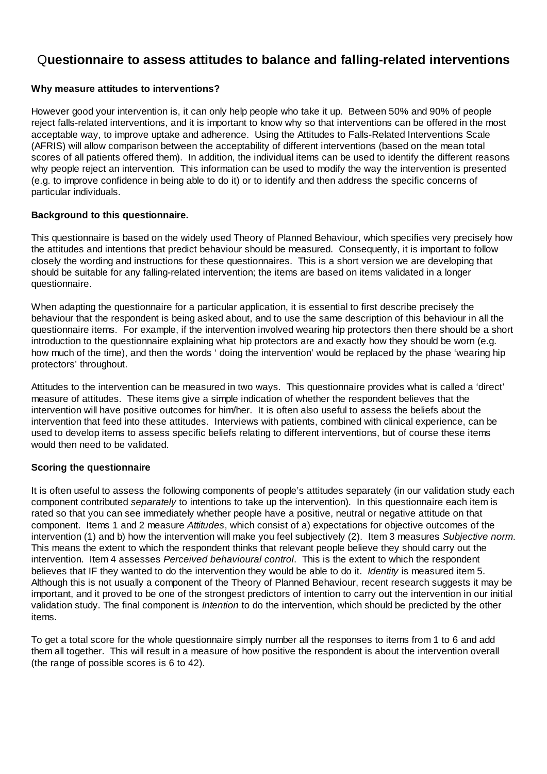## Q**uestionnaire to assess attitudes to balance and falling-related interventions**

### **Why measure attitudes to interventions?**

However good your intervention is, it can only help people who take it up. Between 50% and 90% of people reject falls-related interventions, and it is important to know why so that interventions can be offered in the most acceptable way, to improve uptake and adherence. Using the Attitudes to Falls-Related Interventions Scale (AFRIS) will allow comparison between the acceptability of different interventions (based on the mean total scores of all patients offered them). In addition, the individual items can be used to identify the different reasons why people reject an intervention. This information can be used to modify the way the intervention is presented (e.g. to improve confidence in being able to do it) or to identify and then address the specific concerns of particular individuals.

#### **Background to this questionnaire.**

This questionnaire is based on the widely used Theory of Planned Behaviour, which specifies very precisely how the attitudes and intentions that predict behaviour should be measured. Consequently, it is important to follow closely the wording and instructions for these questionnaires. This is a short version we are developing that should be suitable for any falling-related intervention; the items are based on items validated in a longer questionnaire.

When adapting the questionnaire for a particular application, it is essential to first describe precisely the behaviour that the respondent is being asked about, and to use the same description of this behaviour in all the questionnaire items. For example, if the intervention involved wearing hip protectors then there should be a short introduction to the questionnaire explaining what hip protectors are and exactly how they should be worn (e.g. how much of the time), and then the words ' doing the intervention' would be replaced by the phase 'wearing hip protectors' throughout.

Attitudes to the intervention can be measured in two ways. This questionnaire provides what is called a 'direct' measure of attitudes. These items give a simple indication of whether the respondent believes that the intervention will have positive outcomes for him/her. It is often also useful to assess the beliefs about the intervention that feed into these attitudes. Interviews with patients, combined with clinical experience, can be used to develop items to assess specific beliefs relating to different interventions, but of course these items would then need to be validated.

#### **Scoring the questionnaire**

It is often useful to assess the following components of people's attitudes separately (in our validation study each component contributed *separately* to intentions to take up the intervention). In this questionnaire each item is rated so that you can see immediately whether people have a positive, neutral or negative attitude on that component. Items 1 and 2 measure *Attitudes*, which consist of a) expectations for objective outcomes of the intervention (1) and b) how the intervention will make you feel subjectively (2). Item 3 measures *Subjective norm*. This means the extent to which the respondent thinks that relevant people believe they should carry out the intervention. Item 4 assesses *Perceived behavioural control*. This is the extent to which the respondent believes that IF they wanted to do the intervention they would be able to do it. *Identity* is measured item 5. Although this is not usually a component of the Theory of Planned Behaviour, recent research suggests it may be important, and it proved to be one of the strongest predictors of intention to carry out the intervention in our initial validation study. The final component is *Intention* to do the intervention, which should be predicted by the other items.

To get a total score for the whole questionnaire simply number all the responses to items from 1 to 6 and add them all together. This will result in a measure of how positive the respondent is about the intervention overall (the range of possible scores is 6 to 42).